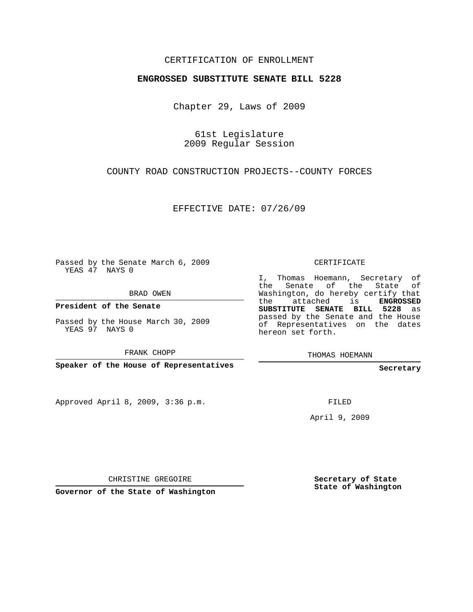## CERTIFICATION OF ENROLLMENT

## **ENGROSSED SUBSTITUTE SENATE BILL 5228**

Chapter 29, Laws of 2009

61st Legislature 2009 Regular Session

COUNTY ROAD CONSTRUCTION PROJECTS--COUNTY FORCES

EFFECTIVE DATE: 07/26/09

Passed by the Senate March 6, 2009 YEAS 47 NAYS 0

BRAD OWEN

**President of the Senate**

Passed by the House March 30, 2009 YEAS 97 NAYS 0

FRANK CHOPP

**Speaker of the House of Representatives**

Approved April 8, 2009, 3:36 p.m.

CERTIFICATE

I, Thomas Hoemann, Secretary of the Senate of the State of Washington, do hereby certify that the attached is **ENGROSSED SUBSTITUTE SENATE BILL 5228** as passed by the Senate and the House of Representatives on the dates hereon set forth.

THOMAS HOEMANN

**Secretary**

FILED

April 9, 2009

CHRISTINE GREGOIRE

**Governor of the State of Washington**

**Secretary of State State of Washington**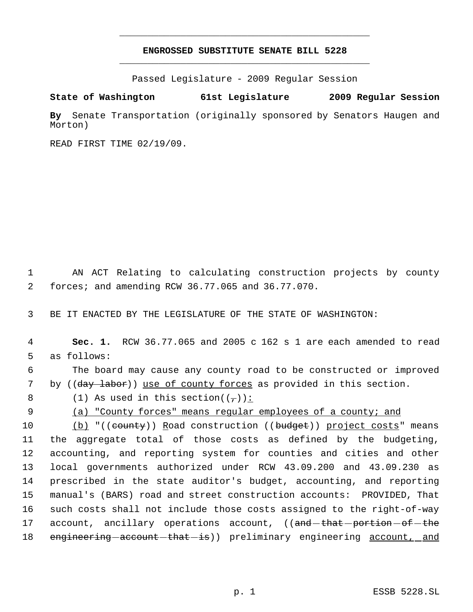## **ENGROSSED SUBSTITUTE SENATE BILL 5228** \_\_\_\_\_\_\_\_\_\_\_\_\_\_\_\_\_\_\_\_\_\_\_\_\_\_\_\_\_\_\_\_\_\_\_\_\_\_\_\_\_\_\_\_\_

\_\_\_\_\_\_\_\_\_\_\_\_\_\_\_\_\_\_\_\_\_\_\_\_\_\_\_\_\_\_\_\_\_\_\_\_\_\_\_\_\_\_\_\_\_

Passed Legislature - 2009 Regular Session

## **State of Washington 61st Legislature 2009 Regular Session**

**By** Senate Transportation (originally sponsored by Senators Haugen and Morton)

READ FIRST TIME 02/19/09.

 1 AN ACT Relating to calculating construction projects by county 2 forces; and amending RCW 36.77.065 and 36.77.070.

3 BE IT ENACTED BY THE LEGISLATURE OF THE STATE OF WASHINGTON:

 4 **Sec. 1.** RCW 36.77.065 and 2005 c 162 s 1 are each amended to read 5 as follows: 6 The board may cause any county road to be constructed or improved 7 by ((day labor)) use of county forces as provided in this section. 8 (1) As used in this section( $(\tau)$ ): 9 (a) "County forces" means regular employees of a county; and 10 (b) "((county)) Road construction ((budget)) project costs" means 11 the aggregate total of those costs as defined by the budgeting, 12 accounting, and reporting system for counties and cities and other 13 local governments authorized under RCW 43.09.200 and 43.09.230 as 14 prescribed in the state auditor's budget, accounting, and reporting 15 manual's (BARS) road and street construction accounts: PROVIDED, That 16 such costs shall not include those costs assigned to the right-of-way 17 account, ancillary operations account, ((and that portion of the 18 engineering account that is) preliminary engineering account, and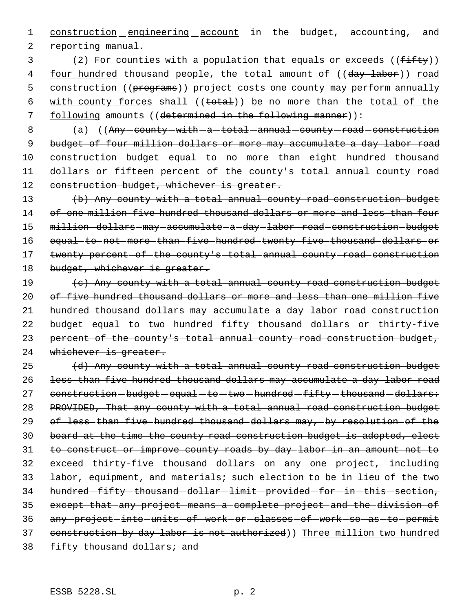1 construction engineering account in the budget, accounting, and 2 reporting manual.

 $3$  (2) For counties with a population that equals or exceeds (( $f$ ifty)) 4 four hundred thousand people, the total amount of ((day labor)) road 5 construction ((programs)) project costs one county may perform annually 6 with county forces shall ((total)) be no more than the total of the 7 following amounts ((determined in the following manner)):

8 (a) ((Any - county - with - a - total - annual - county - road - construction 9 budget of four million dollars or more may accumulate a day labor road 10 construction-budget-equal-to-no-more-than-eight-hundred-thousand 11 dollars or fifteen percent of the county's total annual county road 12 construction budget, whichever is greater.

13 (b) Any county with a total annual county road construction budget 14 of one million five hundred thousand dollars or more and less than four 15 million-dollars-may-accumulate-a-day-labor-road-construction-budget 16 equal to not more than five hundred twenty-five thousand dollars or 17 twenty percent of the county's total annual county road construction 18 budget, whichever is greater.

19 (c) Any county with a total annual county road construction budget 20 of five hundred thousand dollars or more and less than one million five 21 hundred thousand dollars may accumulate a day labor road construction 22 budget-equal-to-two-hundred-fifty-thousand-dollars-or-thirty-five 23 percent of the county's total annual county road construction budget, 24 whichever is greater.

 (d) Any county with a total annual county road construction budget 26 less than five hundred thousand dollars may accumulate a day labor road 27 construction-budget-equal-to-two-hundred-fifty-thousand-dollars: PROVIDED, That any county with a total annual road construction budget of less than five hundred thousand dollars may, by resolution of the board at the time the county road construction budget is adopted, elect to construct or improve county roads by day labor in an amount not to 32 exceed-thirty-five-thousand-dollars-on-any-one-project,-including labor, equipment, and materials; such election to be in lieu of the two 34 hundred-fifty-thousand-dollar-limit-provided-for-in-this-section, except that any project means a complete project and the division of 36 any-project-into-units-of-work-or-classes-of-work-so-as-to-permit construction by day labor is not authorized)) Three million two hundred fifty thousand dollars; and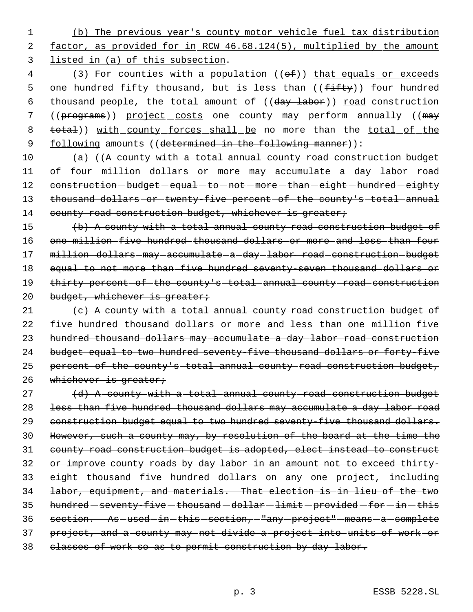1 (b) The previous year's county motor vehicle fuel tax distribution 2 factor, as provided for in RCW 46.68.124(5), multiplied by the amount 3 listed in (a) of this subsection.

4 (3) For counties with a population (( $\theta$ f)) that equals or exceeds 5 one hundred fifty thousand, but is less than ((fifty)) four hundred 6 thousand people, the total amount of ((day labor)) road construction 7 ((programs)) project costs one county may perform annually ((may 8 total)) with county forces shall be no more than the total of the 9 following amounts ((determined in the following manner)):

10 (a) ((A county with a total annual county road construction budget 11 of-four-million-dollars-or-more-may-accumulate-a-day-labor-road 12 construction-budget-equal-to-not-more-than-eight-hundred-eighty 13 thousand dollars or twenty-five percent of the county's total annual 14 county road construction budget, whichever is greater;

15 (b) A county with a total annual county road construction budget of 16 one million five hundred thousand dollars or more and less than four 17 million-dollars-may-accumulate-a-day-labor-road-construction-budget 18 equal to not more than five hundred seventy-seven thousand dollars or 19 thirty percent of the county's total annual county road construction 20 budget, whichever is greater;

21  $(e)$  A county with a total annual county road construction budget of 22 five hundred thousand dollars or more and less than one million five 23 hundred thousand dollars may accumulate a day labor road construction 24 budget equal to two hundred seventy-five thousand dollars or forty-five 25 percent of the county's total annual county road construction budget, 26 whichever is greater;

 $27$   $(d)$  A county with a total annual county road construction budget 28 less than five hundred thousand dollars may accumulate a day labor road 29 construction budget equal to two hundred seventy-five thousand dollars. 30 However, such a county may, by resolution of the board at the time the 31 county road construction budget is adopted, elect instead to construct 32 or improve county roads by day labor in an amount not to exceed thirty-33 eight-thousand-five-hundred-dollars-on-any-one-project, including 34 labor, equipment, and materials. That election is in lieu of the two 35 hundred - seventy-five - thousand - dollar - limit - provided - for - in - this 36 section. As-used-in-this-section,-"any-project"-means-a-complete 37 project, and a county may not divide a project into units of work or 38 classes of work so as to permit construction by day labor.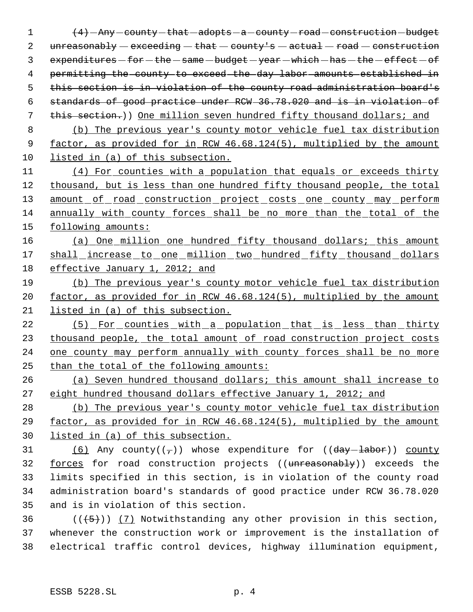$\left(4\right)$  - Any - county - that - adopts - a - county - road - construction - budget  $unreasonably-execeding-that - county's - actual - road - construction$  $expenditures - for - the - same - budget - year - which - has - the - effect - of$  permitting the county to exceed the day labor amounts established in this section is in violation of the county road administration board's standards of good practice under RCW 36.78.020 and is in violation of 7 this section.)) One million seven hundred fifty thousand dollars; and

 (b) The previous year's county motor vehicle fuel tax distribution 9 factor, as provided for in RCW 46.68.124(5), multiplied by the amount listed in (a) of this subsection.

 (4) For counties with a population that equals or exceeds thirty thousand, but is less than one hundred fifty thousand people, the total 13 amount of road construction project costs one county may perform annually with county forces shall be no more than the total of the following amounts:

16 (a) One million one hundred fifty thousand dollars; this amount 17 shall increase to one million two hundred fifty thousand dollars effective January 1, 2012; and

 (b) The previous year's county motor vehicle fuel tax distribution factor, as provided for in RCW 46.68.124(5), multiplied by the amount listed in (a) of this subsection.

22 (5) For counties with a population that is less than thirty 23 thousand people, the total amount of road construction project costs 24 one county may perform annually with county forces shall be no more than the total of the following amounts:

 (a) Seven hundred thousand dollars; this amount shall increase to eight hundred thousand dollars effective January 1, 2012; and

 (b) The previous year's county motor vehicle fuel tax distribution factor, as provided for in RCW 46.68.124(5), multiplied by the amount listed in (a) of this subsection.

31 (6) Any county( $(\tau)$ ) whose expenditure for (( $day$ -labor)) county forces for road construction projects ((unreasonably)) exceeds the limits specified in this section, is in violation of the county road administration board's standards of good practice under RCW 36.78.020 and is in violation of this section.

36 ( $(\overline{\smash{.5}})$ ) (7) Notwithstanding any other provision in this section, whenever the construction work or improvement is the installation of electrical traffic control devices, highway illumination equipment,